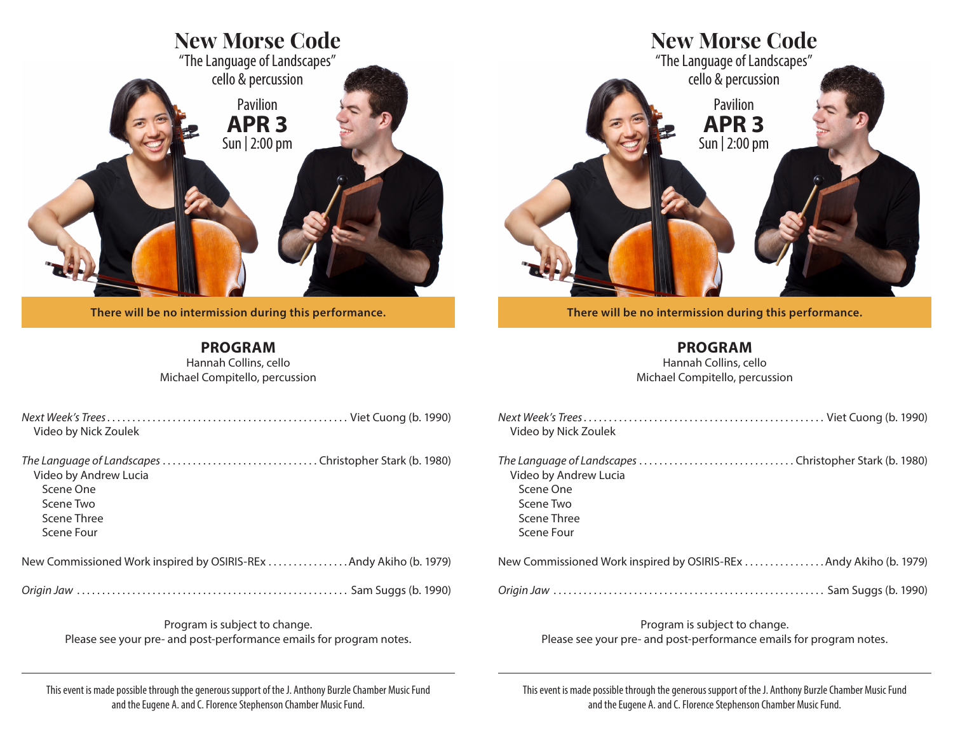

**There will be no intermission during this performance.** 

**PROGRAM** Hannah Collins, cello Michael Compitello, percussion

*Next Week's Trees* . . . . . . . . . . . . . . . . . . . . . . . . . . . . . . . . . . . . . . . . . . . . . . . . Viet Cuong (b. 1990)

*The Language of Landscapes* . . . . . . . . . . . . . . . . . . . . . . . . . . . . . . . Christopher Stark (b. 1980)

New Commissioned Work inspired by OSIRIS-REx . . . . . . . . . . . . . . . Andy Akiho (b. 1979)

*Origin Jaw* . . . . . . . . . . . . . . . . . . . . . . . . . . . . . . . . . . . . . . . . . . . . . . . . . . . . . . Sam Suggs (b. 1990)

Program is subject to change.

Video by Nick Zoulek

Video by Andrew Lucia

Scene One Scene Two Scene Three Scene Four

| <b>New Morse Code</b><br>"The Language of Landscapes"<br>cello & percussion<br>Pavilion<br><b>APR3</b><br>Sun   2:00 pm |
|-------------------------------------------------------------------------------------------------------------------------|
|                                                                                                                         |
|                                                                                                                         |

**There will be no intermission during this performance.** 

**PROGRAM**

Hannah Collins, cello Michael Compitello, percussion

| Video by Nick Zoulek                                                                                                                   |
|----------------------------------------------------------------------------------------------------------------------------------------|
| The Language of Landscapes Christopher Stark (b. 1980)<br>Video by Andrew Lucia<br>Scene One<br>Scene Two<br>Scene Three<br>Scene Four |
| New Commissioned Work inspired by OSIRIS-REx Andy Akiho (b. 1979)                                                                      |
|                                                                                                                                        |
| Program is subject to change.<br>Please see your pre- and post-performance emails for program notes.                                   |

Please see your pre- and post-performance emails for program notes.

This event is made possible through the generous support of the J. Anthony Burzle Chamber Music Fund and the Eugene A. and C. Florence Stephenson Chamber Music Fund.

This event is made possible through the generous support of the J. Anthony Burzle Chamber Music Fund and the Eugene A. and C. Florence Stephenson Chamber Music Fund.